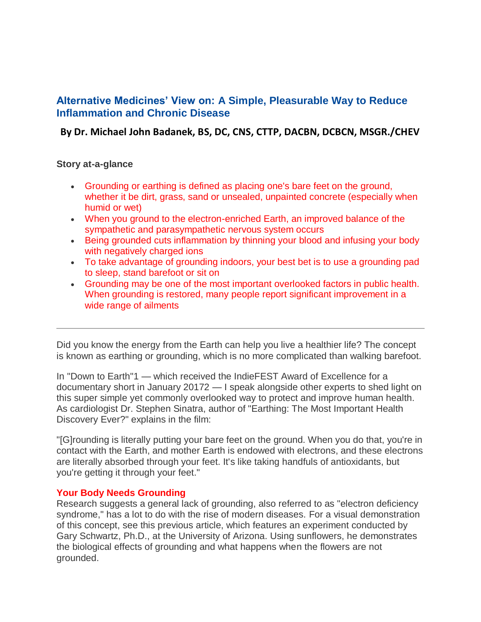# **Alternative Medicines' View on: A Simple, Pleasurable Way to Reduce Inflammation and Chronic Disease**

**By Dr. Michael John Badanek, BS, DC, CNS, CTTP, DACBN, DCBCN, MSGR./CHEV**

# **Story at-a-glance**

- Grounding or earthing is defined as placing one's bare feet on the ground, whether it be dirt, grass, sand or unsealed, unpainted concrete (especially when humid or wet)
- When you ground to the electron-enriched Earth, an improved balance of the sympathetic and parasympathetic nervous system occurs
- Being grounded cuts inflammation by thinning your blood and infusing your body with negatively charged ions
- To take advantage of grounding indoors, your best bet is to use a grounding pad to sleep, stand barefoot or sit on
- Grounding may be one of the most important overlooked factors in public health. When grounding is restored, many people report significant improvement in a wide range of ailments

Did you know the energy from the Earth can help you live a healthier life? The concept is known as earthing or grounding, which is no more complicated than walking barefoot.

In "Down to Earth"1 — which received the IndieFEST Award of Excellence for a documentary short in January 20172 — I speak alongside other experts to shed light on this super simple yet commonly overlooked way to protect and improve human health. As cardiologist Dr. Stephen Sinatra, author of "Earthing: The Most Important Health Discovery Ever?" explains in the film:

"[G]rounding is literally putting your bare feet on the ground. When you do that, you're in contact with the Earth, and mother Earth is endowed with electrons, and these electrons are literally absorbed through your feet. It's like taking handfuls of antioxidants, but you're getting it through your feet."

## **Your Body Needs Grounding**

Research suggests a general lack of grounding, also referred to as "electron deficiency syndrome," has a lot to do with the rise of modern diseases. For a visual demonstration of this concept, see this previous article, which features an experiment conducted by Gary Schwartz, Ph.D., at the University of Arizona. Using sunflowers, he demonstrates the biological effects of grounding and what happens when the flowers are not grounded.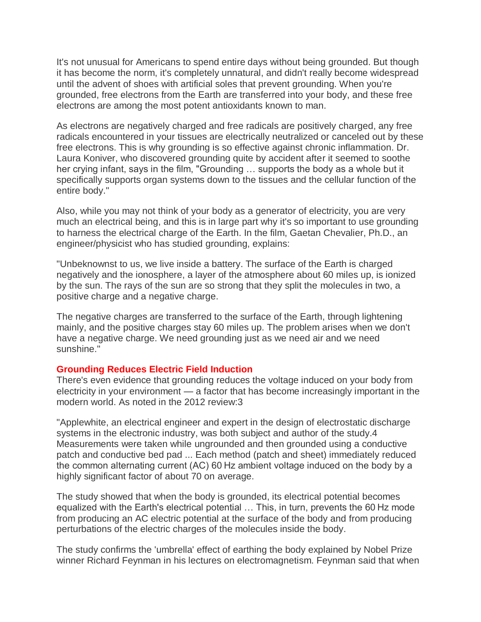It's not unusual for Americans to spend entire days without being grounded. But though it has become the norm, it's completely unnatural, and didn't really become widespread until the advent of shoes with artificial soles that prevent grounding. When you're grounded, free electrons from the Earth are transferred into your body, and these free electrons are among the most potent antioxidants known to man.

As electrons are negatively charged and free radicals are positively charged, any free radicals encountered in your tissues are electrically neutralized or canceled out by these free electrons. This is why grounding is so effective against chronic inflammation. Dr. Laura Koniver, who discovered grounding quite by accident after it seemed to soothe her crying infant, says in the film, "Grounding … supports the body as a whole but it specifically supports organ systems down to the tissues and the cellular function of the entire body."

Also, while you may not think of your body as a generator of electricity, you are very much an electrical being, and this is in large part why it's so important to use grounding to harness the electrical charge of the Earth. In the film, Gaetan Chevalier, Ph.D., an engineer/physicist who has studied grounding, explains:

"Unbeknownst to us, we live inside a battery. The surface of the Earth is charged negatively and the ionosphere, a layer of the atmosphere about 60 miles up, is ionized by the sun. The rays of the sun are so strong that they split the molecules in two, a positive charge and a negative charge.

The negative charges are transferred to the surface of the Earth, through lightening mainly, and the positive charges stay 60 miles up. The problem arises when we don't have a negative charge. We need grounding just as we need air and we need sunshine."

## **Grounding Reduces Electric Field Induction**

There's even evidence that grounding reduces the voltage induced on your body from electricity in your environment — a factor that has become increasingly important in the modern world. As noted in the 2012 review:3

"Applewhite, an electrical engineer and expert in the design of electrostatic discharge systems in the electronic industry, was both subject and author of the study.4 Measurements were taken while ungrounded and then grounded using a conductive patch and conductive bed pad ... Each method (patch and sheet) immediately reduced the common alternating current (AC) 60 Hz ambient voltage induced on the body by a highly significant factor of about 70 on average.

The study showed that when the body is grounded, its electrical potential becomes equalized with the Earth's electrical potential … This, in turn, prevents the 60 Hz mode from producing an AC electric potential at the surface of the body and from producing perturbations of the electric charges of the molecules inside the body.

The study confirms the 'umbrella' effect of earthing the body explained by Nobel Prize winner Richard Feynman in his lectures on electromagnetism. Feynman said that when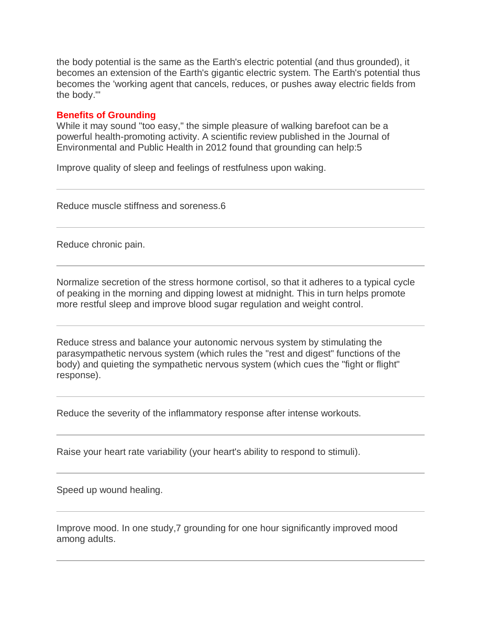the body potential is the same as the Earth's electric potential (and thus grounded), it becomes an extension of the Earth's gigantic electric system. The Earth's potential thus becomes the 'working agent that cancels, reduces, or pushes away electric fields from the body.'"

#### **Benefits of Grounding**

While it may sound "too easy," the simple pleasure of walking barefoot can be a powerful health-promoting activity. A scientific review published in the Journal of Environmental and Public Health in 2012 found that grounding can help:5

Improve quality of sleep and feelings of restfulness upon waking.

Reduce muscle stiffness and soreness.6

Reduce chronic pain.

Normalize secretion of the stress hormone cortisol, so that it adheres to a typical cycle of peaking in the morning and dipping lowest at midnight. This in turn helps promote more restful sleep and improve blood sugar regulation and weight control.

Reduce stress and balance your autonomic nervous system by stimulating the parasympathetic nervous system (which rules the "rest and digest" functions of the body) and quieting the sympathetic nervous system (which cues the "fight or flight" response).

Reduce the severity of the inflammatory response after intense workouts.

Raise your heart rate variability (your heart's ability to respond to stimuli).

Speed up wound healing.

Improve mood. In one study,7 grounding for one hour significantly improved mood among adults.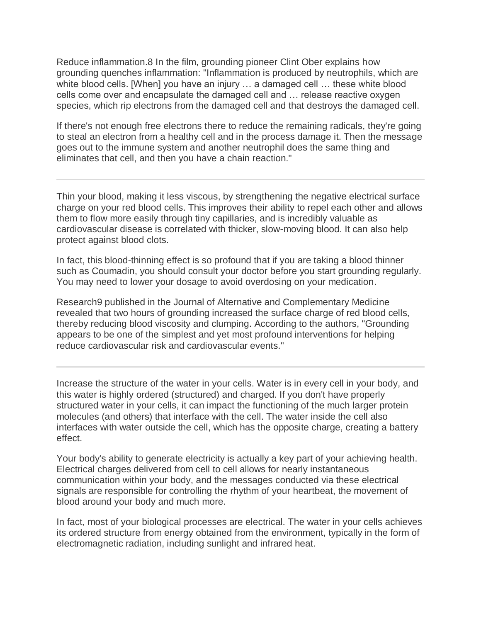Reduce inflammation.8 In the film, grounding pioneer Clint Ober explains how grounding quenches inflammation: "Inflammation is produced by neutrophils, which are white blood cells. [When] you have an injury ... a damaged cell ... these white blood cells come over and encapsulate the damaged cell and … release reactive oxygen species, which rip electrons from the damaged cell and that destroys the damaged cell.

If there's not enough free electrons there to reduce the remaining radicals, they're going to steal an electron from a healthy cell and in the process damage it. Then the message goes out to the immune system and another neutrophil does the same thing and eliminates that cell, and then you have a chain reaction."

Thin your blood, making it less viscous, by strengthening the negative electrical surface charge on your red blood cells. This improves their ability to repel each other and allows them to flow more easily through tiny capillaries, and is incredibly valuable as cardiovascular disease is correlated with thicker, slow-moving blood. It can also help protect against blood clots.

In fact, this blood-thinning effect is so profound that if you are taking a blood thinner such as Coumadin, you should consult your doctor before you start grounding regularly. You may need to lower your dosage to avoid overdosing on your medication.

Research9 published in the Journal of Alternative and Complementary Medicine revealed that two hours of grounding increased the surface charge of red blood cells, thereby reducing blood viscosity and clumping. According to the authors, "Grounding appears to be one of the simplest and yet most profound interventions for helping reduce cardiovascular risk and cardiovascular events."

Increase the structure of the water in your cells. Water is in every cell in your body, and this water is highly ordered (structured) and charged. If you don't have properly structured water in your cells, it can impact the functioning of the much larger protein molecules (and others) that interface with the cell. The water inside the cell also interfaces with water outside the cell, which has the opposite charge, creating a battery effect.

Your body's ability to generate electricity is actually a key part of your achieving health. Electrical charges delivered from cell to cell allows for nearly instantaneous communication within your body, and the messages conducted via these electrical signals are responsible for controlling the rhythm of your heartbeat, the movement of blood around your body and much more.

In fact, most of your biological processes are electrical. The water in your cells achieves its ordered structure from energy obtained from the environment, typically in the form of electromagnetic radiation, including sunlight and infrared heat.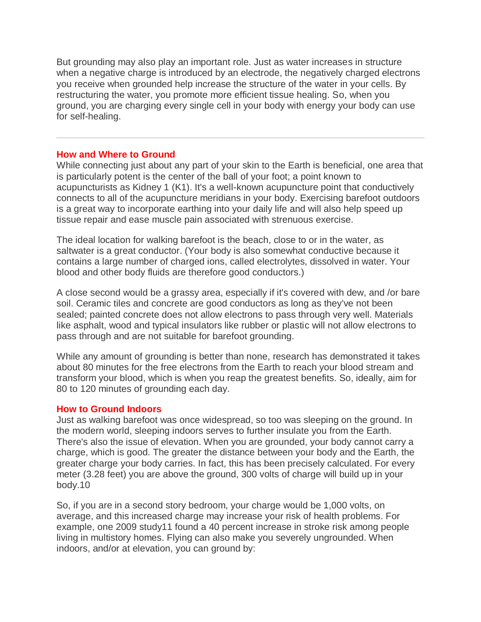But grounding may also play an important role. Just as water increases in structure when a negative charge is introduced by an electrode, the negatively charged electrons you receive when grounded help increase the structure of the water in your cells. By restructuring the water, you promote more efficient tissue healing. So, when you ground, you are charging every single cell in your body with energy your body can use for self-healing.

#### **How and Where to Ground**

While connecting just about any part of your skin to the Earth is beneficial, one area that is particularly potent is the center of the ball of your foot; a point known to acupuncturists as Kidney 1 (K1). It's a well-known acupuncture point that conductively connects to all of the acupuncture meridians in your body. Exercising barefoot outdoors is a great way to incorporate earthing into your daily life and will also help speed up tissue repair and ease muscle pain associated with strenuous exercise.

The ideal location for walking barefoot is the beach, close to or in the water, as saltwater is a great conductor. (Your body is also somewhat conductive because it contains a large number of charged ions, called electrolytes, dissolved in water. Your blood and other body fluids are therefore good conductors.)

A close second would be a grassy area, especially if it's covered with dew, and /or bare soil. Ceramic tiles and concrete are good conductors as long as they've not been sealed; painted concrete does not allow electrons to pass through very well. Materials like asphalt, wood and typical insulators like rubber or plastic will not allow electrons to pass through and are not suitable for barefoot grounding.

While any amount of grounding is better than none, research has demonstrated it takes about 80 minutes for the free electrons from the Earth to reach your blood stream and transform your blood, which is when you reap the greatest benefits. So, ideally, aim for 80 to 120 minutes of grounding each day.

## **How to Ground Indoors**

Just as walking barefoot was once widespread, so too was sleeping on the ground. In the modern world, sleeping indoors serves to further insulate you from the Earth. There's also the issue of elevation. When you are grounded, your body cannot carry a charge, which is good. The greater the distance between your body and the Earth, the greater charge your body carries. In fact, this has been precisely calculated. For every meter (3.28 feet) you are above the ground, 300 volts of charge will build up in your body.10

So, if you are in a second story bedroom, your charge would be 1,000 volts, on average, and this increased charge may increase your risk of health problems. For example, one 2009 study11 found a 40 percent increase in stroke risk among people living in multistory homes. Flying can also make you severely ungrounded. When indoors, and/or at elevation, you can ground by: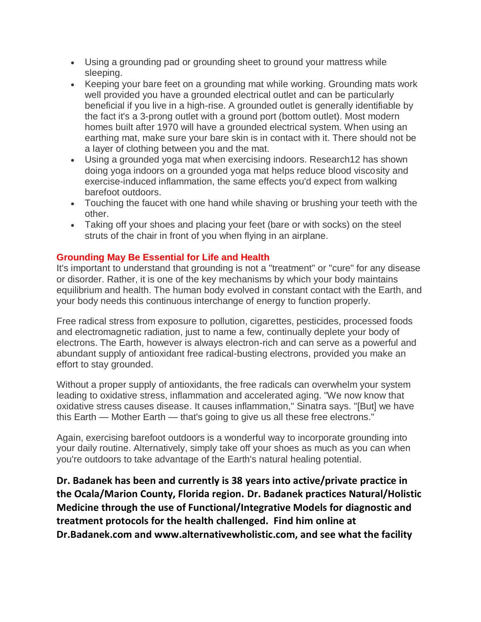- Using a grounding pad or grounding sheet to ground your mattress while sleeping.
- Keeping your bare feet on a grounding mat while working. Grounding mats work well provided you have a grounded electrical outlet and can be particularly beneficial if you live in a high-rise. A grounded outlet is generally identifiable by the fact it's a 3-prong outlet with a ground port (bottom outlet). Most modern homes built after 1970 will have a grounded electrical system. When using an earthing mat, make sure your bare skin is in contact with it. There should not be a layer of clothing between you and the mat.
- Using a grounded yoga mat when exercising indoors. Research12 has shown doing yoga indoors on a grounded yoga mat helps reduce blood viscosity and exercise-induced inflammation, the same effects you'd expect from walking barefoot outdoors.
- Touching the faucet with one hand while shaving or brushing your teeth with the other.
- Taking off your shoes and placing your feet (bare or with socks) on the steel struts of the chair in front of you when flying in an airplane.

# **Grounding May Be Essential for Life and Health**

It's important to understand that grounding is not a "treatment" or "cure" for any disease or disorder. Rather, it is one of the key mechanisms by which your body maintains equilibrium and health. The human body evolved in constant contact with the Earth, and your body needs this continuous interchange of energy to function properly.

Free radical stress from exposure to pollution, cigarettes, pesticides, processed foods and electromagnetic radiation, just to name a few, continually deplete your body of electrons. The Earth, however is always electron-rich and can serve as a powerful and abundant supply of antioxidant free radical-busting electrons, provided you make an effort to stay grounded.

Without a proper supply of antioxidants, the free radicals can overwhelm your system leading to oxidative stress, inflammation and accelerated aging. "We now know that oxidative stress causes disease. It causes inflammation," Sinatra says. "[But] we have this Earth — Mother Earth — that's going to give us all these free electrons."

Again, exercising barefoot outdoors is a wonderful way to incorporate grounding into your daily routine. Alternatively, simply take off your shoes as much as you can when you're outdoors to take advantage of the Earth's natural healing potential.

**Dr. Badanek has been and currently is 38 years into active/private practice in the Ocala/Marion County, Florida region. Dr. Badanek practices Natural/Holistic Medicine through the use of Functional/Integrative Models for diagnostic and treatment protocols for the health challenged. Find him online at Dr.Badanek.com and www.alternativewholistic.com, and see what the facility**